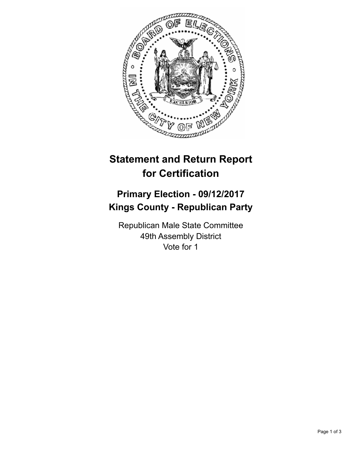

## **Statement and Return Report for Certification**

## **Primary Election - 09/12/2017 Kings County - Republican Party**

Republican Male State Committee 49th Assembly District Vote for 1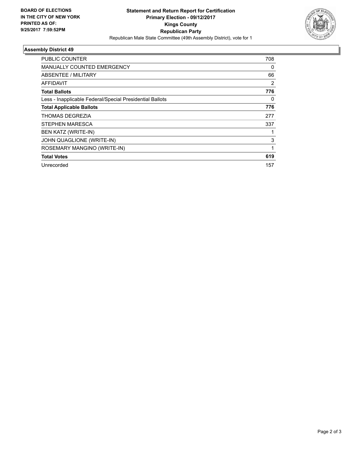

## **Assembly District 49**

| <b>PUBLIC COUNTER</b>                                    | 708 |
|----------------------------------------------------------|-----|
| MANUALLY COUNTED EMERGENCY                               | 0   |
| ABSENTEE / MILITARY                                      | 66  |
| AFFIDAVIT                                                | 2   |
| <b>Total Ballots</b>                                     | 776 |
| Less - Inapplicable Federal/Special Presidential Ballots | 0   |
| <b>Total Applicable Ballots</b>                          | 776 |
| THOMAS DEGREZIA                                          | 277 |
| STEPHEN MARESCA                                          | 337 |
| <b>BEN KATZ (WRITE-IN)</b>                               |     |
| JOHN QUAGLIONE (WRITE-IN)                                | 3   |
| ROSEMARY MANGINO (WRITE-IN)                              | 1   |
| <b>Total Votes</b>                                       | 619 |
| Unrecorded                                               | 157 |